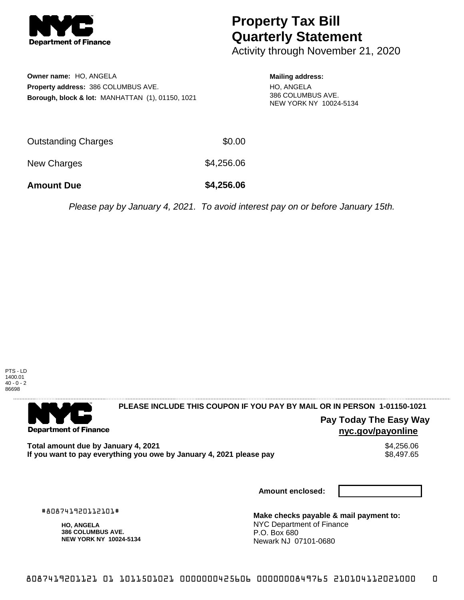

## **Property Tax Bill Quarterly Statement**

Activity through November 21, 2020

**Owner name:** HO, ANGELA **Property address:** 386 COLUMBUS AVE. **Borough, block & lot:** MANHATTAN (1), 01150, 1021

## **Mailing address:**

HO, ANGELA 386 COLUMBUS AVE. NEW YORK NY 10024-5134

| Outstanding Charges | \$0.00     |
|---------------------|------------|
| New Charges         | \$4,256.06 |

**Amount Due \$4,256.06**

Please pay by January 4, 2021. To avoid interest pay on or before January 15th.



. . . . . . . . . . . . . . . .

**Department of Finance** 

. . . . . . . . . . . . . . .

**PLEASE INCLUDE THIS COUPON IF YOU PAY BY MAIL OR IN PERSON 1-01150-1021** 

**Pay Today The Easy Way nyc.gov/payonline**

Total amount due by January 4, 2021<br>If you want to pay everything you owe by January 4, 2021 please pay **show that the set of the set of the set of** If you want to pay everything you owe by January 4, 2021 please pay

**Amount enclosed:**

#808741920112101#

**HO, ANGELA 386 COLUMBUS AVE. NEW YORK NY 10024-5134**

**Make checks payable & mail payment to:** NYC Department of Finance P.O. Box 680 Newark NJ 07101-0680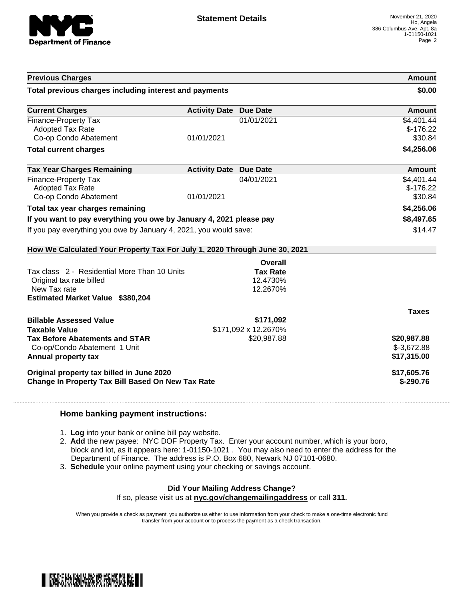

| <b>Previous Charges</b>                                                                                                             |                               |                                         | Amount                                     |
|-------------------------------------------------------------------------------------------------------------------------------------|-------------------------------|-----------------------------------------|--------------------------------------------|
| Total previous charges including interest and payments                                                                              |                               |                                         | \$0.00                                     |
| <b>Current Charges</b>                                                                                                              | <b>Activity Date</b>          | <b>Due Date</b>                         | Amount                                     |
| <b>Finance-Property Tax</b><br><b>Adopted Tax Rate</b><br>Co-op Condo Abatement                                                     | 01/01/2021                    | 01/01/2021                              | \$4,401.44<br>$$-176.22$<br>\$30.84        |
| <b>Total current charges</b>                                                                                                        |                               |                                         | \$4,256.06                                 |
| <b>Tax Year Charges Remaining</b>                                                                                                   | <b>Activity Date Due Date</b> |                                         | Amount                                     |
| <b>Finance-Property Tax</b><br><b>Adopted Tax Rate</b><br>Co-op Condo Abatement                                                     | 01/01/2021                    | 04/01/2021                              | \$4,401.44<br>$$-176.22$<br>\$30.84        |
| Total tax year charges remaining                                                                                                    |                               |                                         | \$4,256.06                                 |
| If you want to pay everything you owe by January 4, 2021 please pay                                                                 |                               | \$8,497.65                              |                                            |
| If you pay everything you owe by January 4, 2021, you would save:                                                                   |                               | \$14.47                                 |                                            |
| How We Calculated Your Property Tax For July 1, 2020 Through June 30, 2021                                                          |                               |                                         |                                            |
|                                                                                                                                     |                               | Overall                                 |                                            |
| Tax class 2 - Residential More Than 10 Units<br>Original tax rate billed<br>New Tax rate<br><b>Estimated Market Value \$380,204</b> |                               | <b>Tax Rate</b><br>12.4730%<br>12.2670% |                                            |
|                                                                                                                                     |                               |                                         | <b>Taxes</b>                               |
| <b>Billable Assessed Value</b>                                                                                                      |                               | \$171,092                               |                                            |
| <b>Taxable Value</b><br><b>Tax Before Abatements and STAR</b><br>Co-op/Condo Abatement 1 Unit<br>Annual property tax                |                               | \$171,092 x 12.2670%<br>\$20,987.88     | \$20,987.88<br>$$-3,672.88$<br>\$17,315.00 |
| Original property tax billed in June 2020<br>Change In Property Tax Bill Based On New Tax Rate                                      |                               |                                         | \$17,605.76<br>\$-290.76                   |

## **Home banking payment instructions:**

- 1. **Log** into your bank or online bill pay website.
- 2. **Add** the new payee: NYC DOF Property Tax. Enter your account number, which is your boro, block and lot, as it appears here: 1-01150-1021 . You may also need to enter the address for the Department of Finance. The address is P.O. Box 680, Newark NJ 07101-0680.
- 3. **Schedule** your online payment using your checking or savings account.

## **Did Your Mailing Address Change?**

If so, please visit us at **nyc.gov/changemailingaddress** or call **311.**

When you provide a check as payment, you authorize us either to use information from your check to make a one-time electronic fund transfer from your account or to process the payment as a check transaction.